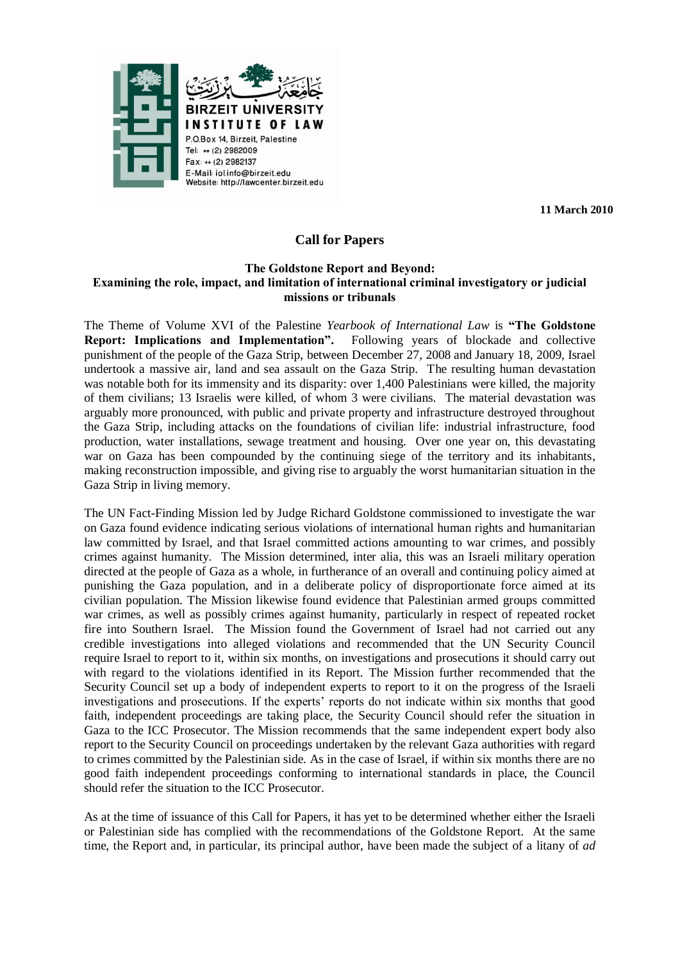

**11 March 2010**

# **Call for Papers**

#### **The Goldstone Report and Beyond: Examining the role, impact, and limitation of international criminal investigatory or judicial missions or tribunals**

The Theme of Volume XVI of the Palestine *Yearbook of International Law* is **"The Goldstone Report: Implications and Implementation".** Following years of blockade and collective punishment of the people of the Gaza Strip, between December 27, 2008 and January 18, 2009, Israel undertook a massive air, land and sea assault on the Gaza Strip. The resulting human devastation was notable both for its immensity and its disparity: over 1,400 Palestinians were killed, the majority of them civilians; 13 Israelis were killed, of whom 3 were civilians. The material devastation was arguably more pronounced, with public and private property and infrastructure destroyed throughout the Gaza Strip, including attacks on the foundations of civilian life: industrial infrastructure, food production, water installations, sewage treatment and housing. Over one year on, this devastating war on Gaza has been compounded by the continuing siege of the territory and its inhabitants, making reconstruction impossible, and giving rise to arguably the worst humanitarian situation in the Gaza Strip in living memory.

The UN Fact-Finding Mission led by Judge Richard Goldstone commissioned to investigate the war on Gaza found evidence indicating serious violations of international human rights and humanitarian law committed by Israel, and that Israel committed actions amounting to war crimes, and possibly crimes against humanity. The Mission determined, inter alia, this was an Israeli military operation directed at the people of Gaza as a whole, in furtherance of an overall and continuing policy aimed at punishing the Gaza population, and in a deliberate policy of disproportionate force aimed at its civilian population. The Mission likewise found evidence that Palestinian armed groups committed war crimes, as well as possibly crimes against humanity, particularly in respect of repeated rocket fire into Southern Israel. The Mission found the Government of Israel had not carried out any credible investigations into alleged violations and recommended that the UN Security Council require Israel to report to it, within six months, on investigations and prosecutions it should carry out with regard to the violations identified in its Report. The Mission further recommended that the Security Council set up a body of independent experts to report to it on the progress of the Israeli investigations and prosecutions. If the experts' reports do not indicate within six months that good faith, independent proceedings are taking place, the Security Council should refer the situation in Gaza to the ICC Prosecutor. The Mission recommends that the same independent expert body also report to the Security Council on proceedings undertaken by the relevant Gaza authorities with regard to crimes committed by the Palestinian side. As in the case of Israel, if within six months there are no good faith independent proceedings conforming to international standards in place, the Council should refer the situation to the ICC Prosecutor.

As at the time of issuance of this Call for Papers, it has yet to be determined whether either the Israeli or Palestinian side has complied with the recommendations of the Goldstone Report. At the same time, the Report and, in particular, its principal author, have been made the subject of a litany of *ad*